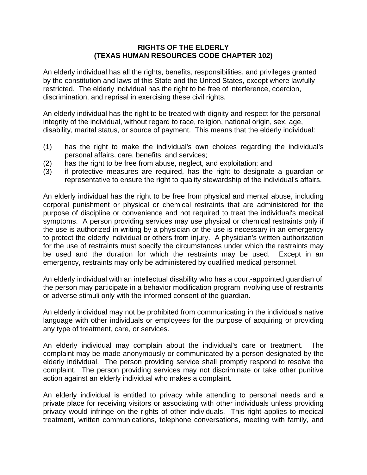## **RIGHTS OF THE ELDERLY (TEXAS HUMAN RESOURCES CODE CHAPTER 102)**

An elderly individual has all the rights, benefits, responsibilities, and privileges granted by the constitution and laws of this State and the United States, except where lawfully restricted. The elderly individual has the right to be free of interference, coercion, discrimination, and reprisal in exercising these civil rights.

An elderly individual has the right to be treated with dignity and respect for the personal integrity of the individual, without regard to race, religion, national origin, sex, age, disability, marital status, or source of payment. This means that the elderly individual:

- (1) has the right to make the individual's own choices regarding the individual's personal affairs, care, benefits, and services;
- (2) has the right to be free from abuse, neglect, and exploitation; and
- (3) if protective measures are required, has the right to designate a guardian or representative to ensure the right to quality stewardship of the individual's affairs.

An elderly individual has the right to be free from physical and mental abuse, including corporal punishment or physical or chemical restraints that are administered for the purpose of discipline or convenience and not required to treat the individual's medical symptoms. A person providing services may use physical or chemical restraints only if the use is authorized in writing by a physician or the use is necessary in an emergency to protect the elderly individual or others from injury. A physician's written authorization for the use of restraints must specify the circumstances under which the restraints may be used and the duration for which the restraints may be used. Except in an emergency, restraints may only be administered by qualified medical personnel.

An elderly individual with an intellectual disability who has a court-appointed guardian of the person may participate in a behavior modification program involving use of restraints or adverse stimuli only with the informed consent of the guardian.

An elderly individual may not be prohibited from communicating in the individual's native language with other individuals or employees for the purpose of acquiring or providing any type of treatment, care, or services.

An elderly individual may complain about the individual's care or treatment. The complaint may be made anonymously or communicated by a person designated by the elderly individual. The person providing service shall promptly respond to resolve the complaint. The person providing services may not discriminate or take other punitive action against an elderly individual who makes a complaint.

An elderly individual is entitled to privacy while attending to personal needs and a private place for receiving visitors or associating with other individuals unless providing privacy would infringe on the rights of other individuals. This right applies to medical treatment, written communications, telephone conversations, meeting with family, and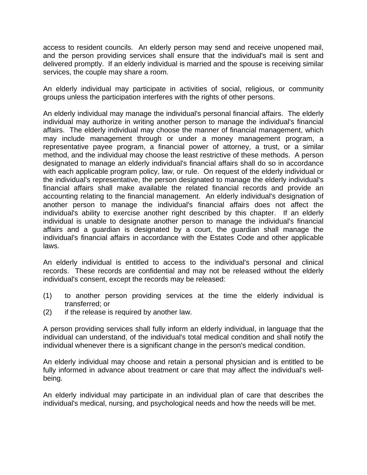access to resident councils. An elderly person may send and receive unopened mail, and the person providing services shall ensure that the individual's mail is sent and delivered promptly. If an elderly individual is married and the spouse is receiving similar services, the couple may share a room.

An elderly individual may participate in activities of social, religious, or community groups unless the participation interferes with the rights of other persons.

An elderly individual may manage the individual's personal financial affairs. The elderly individual may authorize in writing another person to manage the individual's financial affairs. The elderly individual may choose the manner of financial management, which may include management through or under a money management program, a representative payee program, a financial power of attorney, a trust, or a similar method, and the individual may choose the least restrictive of these methods. A person designated to manage an elderly individual's financial affairs shall do so in accordance with each applicable program policy, law, or rule. On request of the elderly individual or the individual's representative, the person designated to manage the elderly individual's financial affairs shall make available the related financial records and provide an accounting relating to the financial management. An elderly individual's designation of another person to manage the individual's financial affairs does not affect the individual's ability to exercise another right described by this chapter. If an elderly individual is unable to designate another person to manage the individual's financial affairs and a guardian is designated by a court, the guardian shall manage the individual's financial affairs in accordance with the Estates Code and other applicable laws.

An elderly individual is entitled to access to the individual's personal and clinical records. These records are confidential and may not be released without the elderly individual's consent, except the records may be released:

- (1) to another person providing services at the time the elderly individual is transferred; or
- (2) if the release is required by another law.

A person providing services shall fully inform an elderly individual, in language that the individual can understand, of the individual's total medical condition and shall notify the individual whenever there is a significant change in the person's medical condition.

An elderly individual may choose and retain a personal physician and is entitled to be fully informed in advance about treatment or care that may affect the individual's wellbeing.

An elderly individual may participate in an individual plan of care that describes the individual's medical, nursing, and psychological needs and how the needs will be met.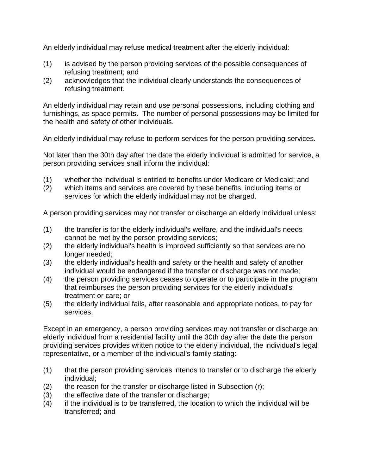An elderly individual may refuse medical treatment after the elderly individual:

- (1) is advised by the person providing services of the possible consequences of refusing treatment; and
- (2) acknowledges that the individual clearly understands the consequences of refusing treatment.

An elderly individual may retain and use personal possessions, including clothing and furnishings, as space permits. The number of personal possessions may be limited for the health and safety of other individuals.

An elderly individual may refuse to perform services for the person providing services.

Not later than the 30th day after the date the elderly individual is admitted for service, a person providing services shall inform the individual:

- (1) whether the individual is entitled to benefits under Medicare or Medicaid; and
- (2) which items and services are covered by these benefits, including items or services for which the elderly individual may not be charged.

A person providing services may not transfer or discharge an elderly individual unless:

- (1) the transfer is for the elderly individual's welfare, and the individual's needs cannot be met by the person providing services;
- (2) the elderly individual's health is improved sufficiently so that services are no longer needed;
- (3) the elderly individual's health and safety or the health and safety of another individual would be endangered if the transfer or discharge was not made;
- (4) the person providing services ceases to operate or to participate in the program that reimburses the person providing services for the elderly individual's treatment or care; or
- (5) the elderly individual fails, after reasonable and appropriate notices, to pay for services.

Except in an emergency, a person providing services may not transfer or discharge an elderly individual from a residential facility until the 30th day after the date the person providing services provides written notice to the elderly individual, the individual's legal representative, or a member of the individual's family stating:

- (1) that the person providing services intends to transfer or to discharge the elderly individual;
- $(2)$  the reason for the transfer or discharge listed in Subsection (r);
- (3) the effective date of the transfer or discharge;
- (4) if the individual is to be transferred, the location to which the individual will be transferred; and